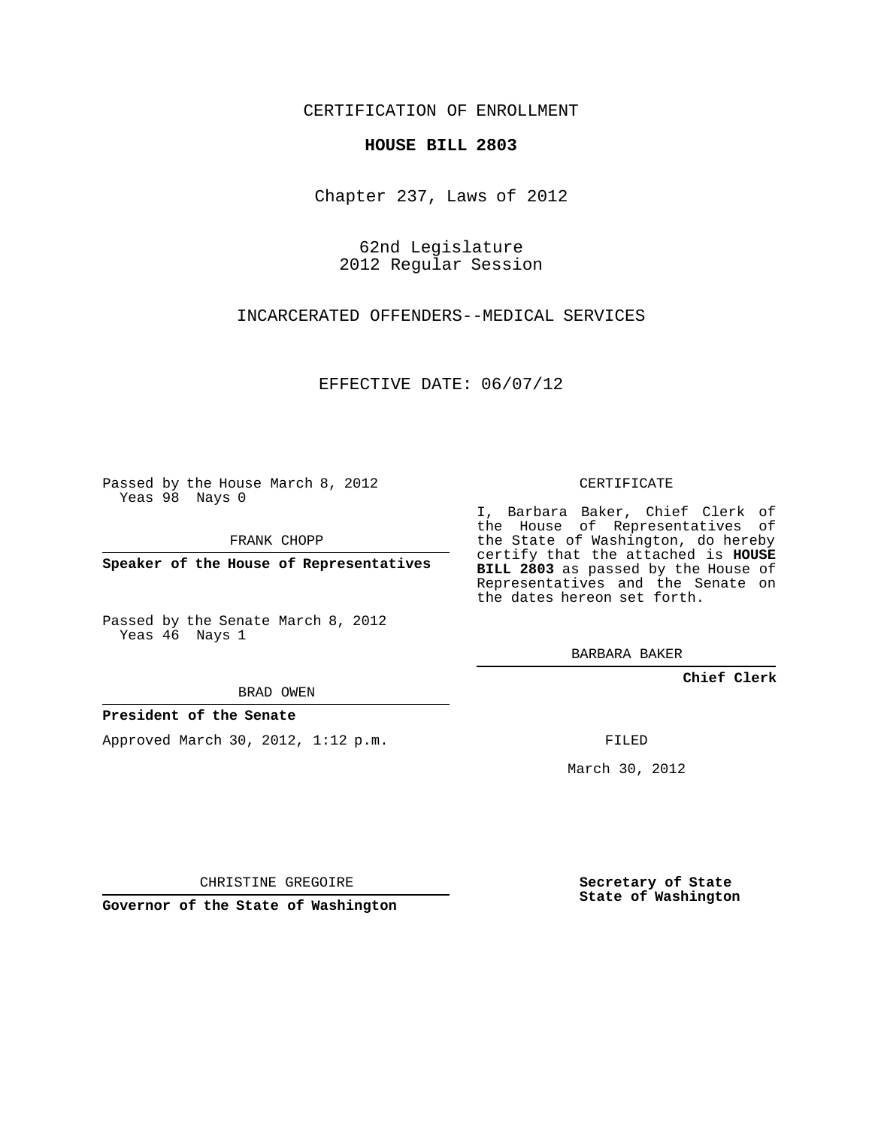# CERTIFICATION OF ENROLLMENT

## **HOUSE BILL 2803**

Chapter 237, Laws of 2012

62nd Legislature 2012 Regular Session

INCARCERATED OFFENDERS--MEDICAL SERVICES

EFFECTIVE DATE: 06/07/12

Passed by the House March 8, 2012 Yeas 98 Nays 0

FRANK CHOPP

**Speaker of the House of Representatives**

Passed by the Senate March 8, 2012 Yeas 46 Nays 1

BRAD OWEN

# **President of the Senate**

Approved March 30, 2012, 1:12 p.m.

CERTIFICATE

I, Barbara Baker, Chief Clerk of the House of Representatives of the State of Washington, do hereby certify that the attached is **HOUSE BILL 2803** as passed by the House of Representatives and the Senate on the dates hereon set forth.

BARBARA BAKER

**Chief Clerk**

FILED

March 30, 2012

**Secretary of State State of Washington**

CHRISTINE GREGOIRE

**Governor of the State of Washington**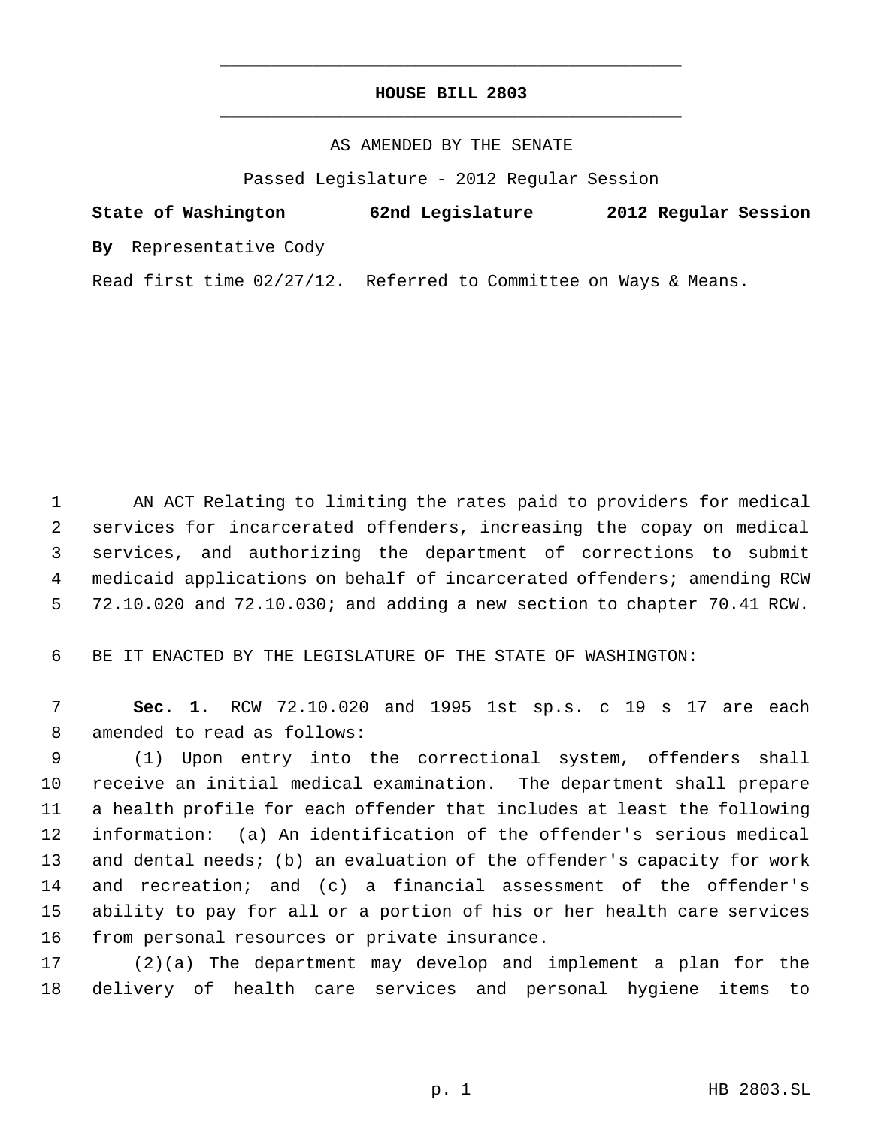# **HOUSE BILL 2803** \_\_\_\_\_\_\_\_\_\_\_\_\_\_\_\_\_\_\_\_\_\_\_\_\_\_\_\_\_\_\_\_\_\_\_\_\_\_\_\_\_\_\_\_\_

\_\_\_\_\_\_\_\_\_\_\_\_\_\_\_\_\_\_\_\_\_\_\_\_\_\_\_\_\_\_\_\_\_\_\_\_\_\_\_\_\_\_\_\_\_

### AS AMENDED BY THE SENATE

Passed Legislature - 2012 Regular Session

# **State of Washington 62nd Legislature 2012 Regular Session**

**By** Representative Cody

Read first time 02/27/12. Referred to Committee on Ways & Means.

 AN ACT Relating to limiting the rates paid to providers for medical services for incarcerated offenders, increasing the copay on medical services, and authorizing the department of corrections to submit medicaid applications on behalf of incarcerated offenders; amending RCW 72.10.020 and 72.10.030; and adding a new section to chapter 70.41 RCW.

BE IT ENACTED BY THE LEGISLATURE OF THE STATE OF WASHINGTON:

 **Sec. 1.** RCW 72.10.020 and 1995 1st sp.s. c 19 s 17 are each amended to read as follows:

 (1) Upon entry into the correctional system, offenders shall receive an initial medical examination. The department shall prepare a health profile for each offender that includes at least the following information: (a) An identification of the offender's serious medical and dental needs; (b) an evaluation of the offender's capacity for work and recreation; and (c) a financial assessment of the offender's ability to pay for all or a portion of his or her health care services from personal resources or private insurance.

 (2)(a) The department may develop and implement a plan for the delivery of health care services and personal hygiene items to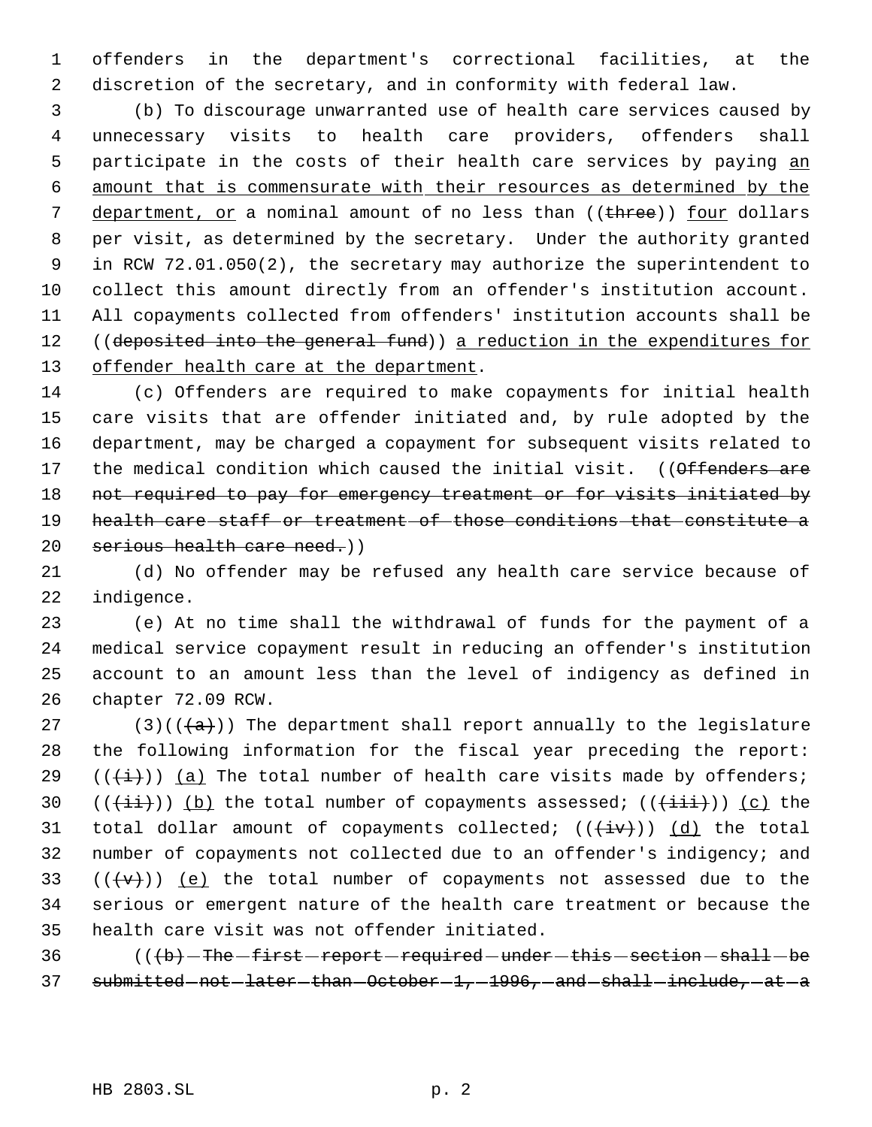offenders in the department's correctional facilities, at the discretion of the secretary, and in conformity with federal law.

 (b) To discourage unwarranted use of health care services caused by unnecessary visits to health care providers, offenders shall 5 participate in the costs of their health care services by paying an amount that is commensurate with their resources as determined by the 7 department, or a nominal amount of no less than ((three)) four dollars per visit, as determined by the secretary. Under the authority granted in RCW 72.01.050(2), the secretary may authorize the superintendent to collect this amount directly from an offender's institution account. All copayments collected from offenders' institution accounts shall be 12 ((deposited into the general fund)) a reduction in the expenditures for 13 offender health care at the department.

 (c) Offenders are required to make copayments for initial health care visits that are offender initiated and, by rule adopted by the department, may be charged a copayment for subsequent visits related to 17 the medical condition which caused the initial visit. ((Offenders are 18 not required to pay for emergency treatment or for visits initiated by health care staff or treatment of those conditions that constitute a 20 serious health care need.))

 (d) No offender may be refused any health care service because of indigence.

 (e) At no time shall the withdrawal of funds for the payment of a medical service copayment result in reducing an offender's institution account to an amount less than the level of indigency as defined in chapter 72.09 RCW.

27 (3)( $(\overline{\{a\}})$ ) The department shall report annually to the legislature the following information for the fiscal year preceding the report:  $((\overleftrightarrow{t}))$  (a) The total number of health care visits made by offenders;  $((\overrightarrow{ii}))$  (b) the total number of copayments assessed;  $((\overrightarrow{iii}))$  (c) the 31 total dollar amount of copayments collected;  $((\overleftrightarrow{iv}))$   $(d)$  the total number of copayments not collected due to an offender's indigency; and  $((\forall \forall))$  (e) the total number of copayments not assessed due to the serious or emergent nature of the health care treatment or because the health care visit was not offender initiated.

 (( $\left( +b \right)$  - The -first -report -required -under -this -section -shall -be submitted  $-$  not  $-$  later  $-$  than  $-$  October  $-1$ ,  $-1996$ ,  $-$  and  $-$  shall  $-$  include,  $-$  at  $-$  a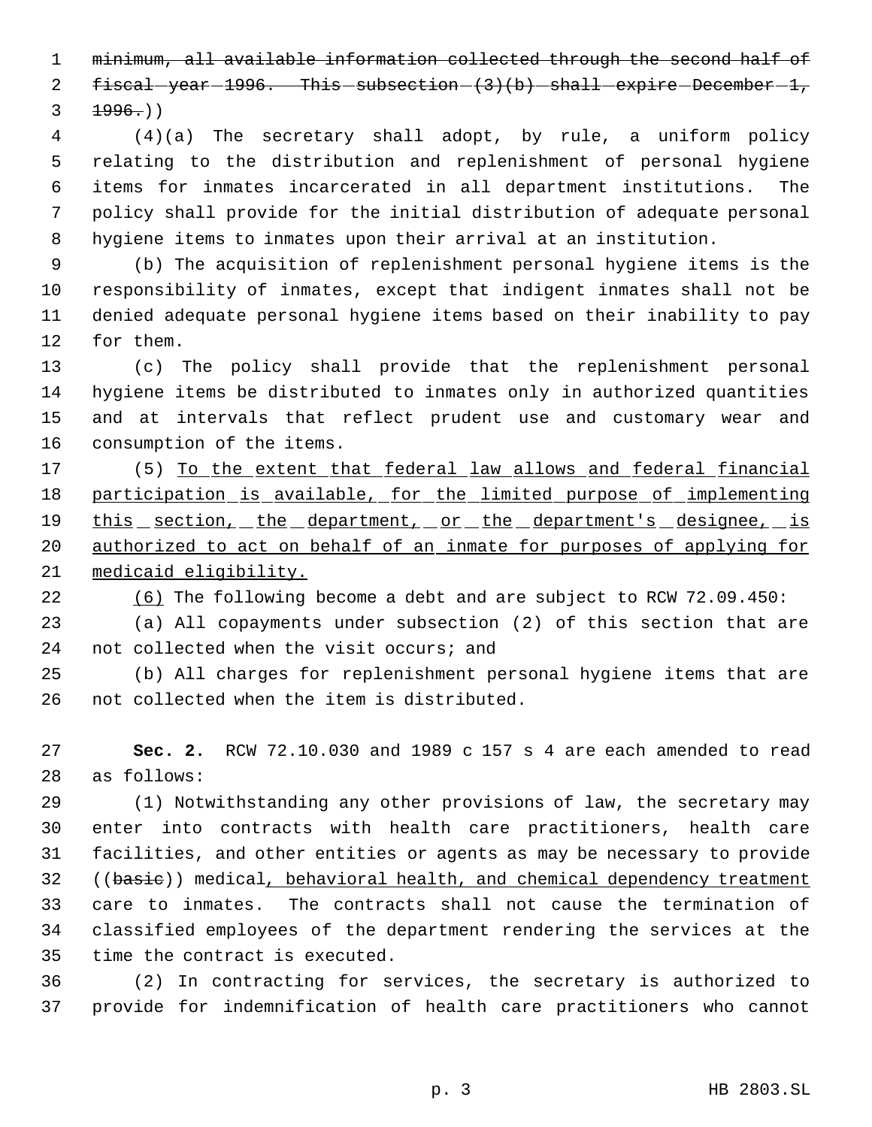minimum, all available information collected through the second half of 2  $f{\text{iscal}} - year{-1996}$ . This  $-subsection-(3)(b) - shall - expire - December{-1}$ ,  $3 + 1996.$ 

 (4)(a) The secretary shall adopt, by rule, a uniform policy relating to the distribution and replenishment of personal hygiene items for inmates incarcerated in all department institutions. The policy shall provide for the initial distribution of adequate personal hygiene items to inmates upon their arrival at an institution.

 (b) The acquisition of replenishment personal hygiene items is the responsibility of inmates, except that indigent inmates shall not be denied adequate personal hygiene items based on their inability to pay for them.

 (c) The policy shall provide that the replenishment personal hygiene items be distributed to inmates only in authorized quantities and at intervals that reflect prudent use and customary wear and consumption of the items.

 (5) To the extent that federal law allows and federal financial 18 participation is available, for the limited purpose of implementing 19 this section, the department, or the department's designee, is 20 authorized to act on behalf of an inmate for purposes of applying for medicaid eligibility.

(6) The following become a debt and are subject to RCW 72.09.450:

 (a) All copayments under subsection (2) of this section that are not collected when the visit occurs; and

 (b) All charges for replenishment personal hygiene items that are not collected when the item is distributed.

 **Sec. 2.** RCW 72.10.030 and 1989 c 157 s 4 are each amended to read as follows:

 (1) Notwithstanding any other provisions of law, the secretary may enter into contracts with health care practitioners, health care facilities, and other entities or agents as may be necessary to provide 32 ((basie)) medical, behavioral health, and chemical dependency treatment care to inmates. The contracts shall not cause the termination of classified employees of the department rendering the services at the time the contract is executed.

 (2) In contracting for services, the secretary is authorized to provide for indemnification of health care practitioners who cannot